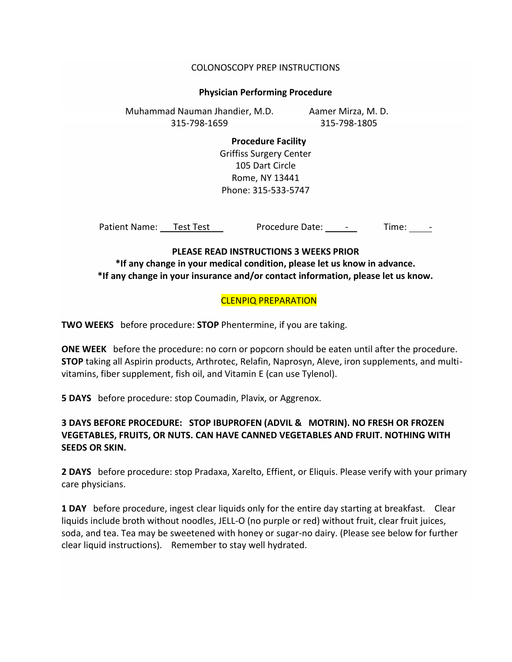#### COLONOSCOPY PREP INSTRUCTIONS

#### **Physician Performing Procedure**

Aamer Mirza, M. D. 315-798-1805 Muhammad Nauman Jhandier, M.D. 315-798-1659

> **Procedure Facility** Griffiss Surgery Center 105 Dart Circle Rome, NY 13441 Phone: 315-533-5747

Patient Name: Test Test Contractedure Date: - Time: -

# **PLEASE READ INSTRUCTIONS 3 WEEKS PRIOR \*If any change in your medical condition, please let us know in advance. \*If any change in your insurance and/or contact information, please let us know.**

## CLENPIQ PREPARATION

**TWO WEEKS** before procedure: **STOP** Phentermine, if you are taking.

**ONE WEEK** before the procedure: no corn or popcorn should be eaten until after the procedure. **STOP** taking all Aspirin products, Arthrotec, Relafin, Naprosyn, Aleve, iron supplements, and multivitamins, fiber supplement, fish oil, and Vitamin E (can use Tylenol).

**5 DAYS** before procedure: stop Coumadin, Plavix, or Aggrenox.

# **3 DAYS BEFORE PROCEDURE: STOP IBUPROFEN (ADVIL & MOTRIN). NO FRESH OR FROZEN VEGETABLES, FRUITS, OR NUTS. CAN HAVE CANNED VEGETABLES AND FRUIT. NOTHING WITH SEEDS OR SKIN.**

**2 DAYS** before procedure: stop Pradaxa, Xarelto, Effient, or Eliquis. Please verify with your primary care physicians.

**1 DAY** before procedure, ingest clear liquids only for the entire day starting at breakfast. Clear liquids include broth without noodles, JELL-O (no purple or red) without fruit, clear fruit juices, soda, and tea. Tea may be sweetened with honey or sugar-no dairy. (Please see below for further clear liquid instructions). Remember to stay well hydrated.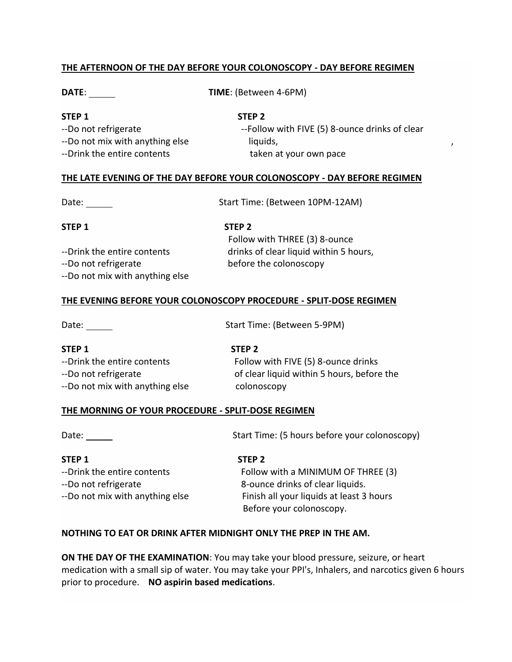#### **THE AFTERNOON OF THE DAY BEFORE YOUR COLONOSCOPY - DAY BEFORE REGIMEN**

**DATE**: **TIME**: (Between 4-6PM)

## **STEP 1 STEP 2**

--Do not mix with anything else liquids, --Drink the entire contents taken at your own pace

--Do not refrigerate  $-$ Follow with FIVE (5) 8-ounce drinks of clear

#### **THE LATE EVENING OF THE DAY BEFORE YOUR COLONOSCOPY - DAY BEFORE REGIMEN**

Date: Start Time: (Between 10PM-12AM)

#### **STEP 1 STEP 2**

--Do not refrigerate before the colonoscopy --Do not mix with anything else

 Follow with THREE (3) 8-ounce --Drink the entire contents drinks of clear liquid within 5 hours,

## **THE EVENING BEFORE YOUR COLONOSCOPY PROCEDURE - SPLIT-DOSE REGIMEN**

Date: Date: Start Time: (Between 5-9PM)

| STEP 1                          | STEP <sub>2</sub>                          |
|---------------------------------|--------------------------------------------|
| --Drink the entire contents     | Follow with FIVE (5) 8-ounce drinks        |
| --Do not refrigerate            | of clear liquid within 5 hours, before the |
| --Do not mix with anything else | colonoscopy                                |

## **THE MORNING OF YOUR PROCEDURE - SPLIT-DOSE REGIMEN**

Date: Start Time: (5 hours before your colonoscopy)

# **STEP 1 STEP 2** --Do not refrigerate extending the second second second 8-ounce drinks of clear liquids.

--Drink the entire contents Follow with a MINIMUM OF THREE (3) --Do not mix with anything else Finish all your liquids at least 3 hours Before your colonoscopy.

## **NOTHING TO EAT OR DRINK AFTER MIDNIGHT ONLY THE PREP IN THE AM.**

**ON THE DAY OF THE EXAMINATION**: You may take your blood pressure, seizure, or heart medication with a small sip of water. You may take your PPI's, Inhalers, and narcotics given 6 hours prior to procedure. **NO aspirin based medications**.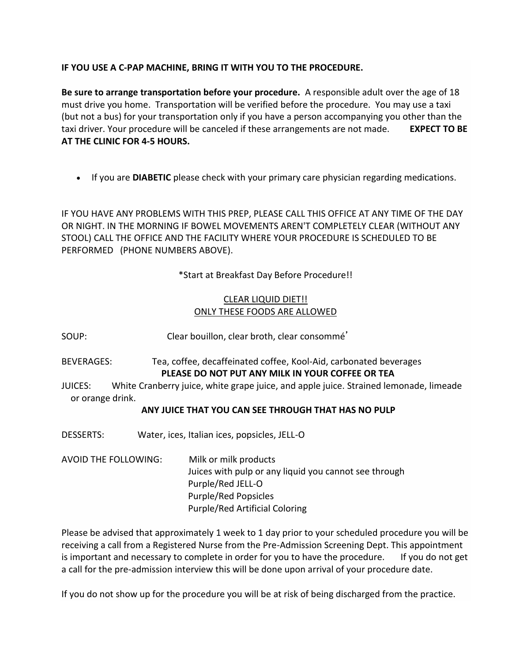## **IF YOU USE A C-PAP MACHINE, BRING IT WITH YOU TO THE PROCEDURE.**

**Be sure to arrange transportation before your procedure.** A responsible adult over the age of 18 must drive you home. Transportation will be verified before the procedure. You may use a taxi (but not a bus) for your transportation only if you have a person accompanying you other than the taxi driver. Your procedure will be canceled if these arrangements are not made. **EXPECT TO BE AT THE CLINIC FOR 4-5 HOURS.**

If you are **DIABETIC** please check with your primary care physician regarding medications.

IF YOU HAVE ANY PROBLEMS WITH THIS PREP, PLEASE CALL THIS OFFICE AT ANY TIME OF THE DAY OR NIGHT. IN THE MORNING IF BOWEL MOVEMENTS AREN'T COMPLETELY CLEAR (WITHOUT ANY STOOL) CALL THE OFFICE AND THE FACILITY WHERE YOUR PROCEDURE IS SCHEDULED TO BE PERFORMED (PHONE NUMBERS ABOVE).

\*Start at Breakfast Day Before Procedure!!

# CLEAR LIQUID DIET!! ONLY THESE FOODS ARE ALLOWED

SOUP: Clear bouillon, clear broth, clear consommé'

BEVERAGES: Tea, coffee, decaffeinated coffee, Kool-Aid, carbonated beverages **PLEASE DO NOT PUT ANY MILK IN YOUR COFFEE OR TEA**

JUICES: White Cranberry juice, white grape juice, and apple juice. Strained lemonade, limeade or orange drink.

# **ANY JUICE THAT YOU CAN SEE THROUGH THAT HAS NO PULP**

DESSERTS: Water, ices, Italian ices, popsicles, JELL-O

AVOID THE FOLLOWING: Milk or milk products Juices with pulp or any liquid you cannot see through Purple/Red JELL-O Purple/Red Popsicles Purple/Red Artificial Coloring

Please be advised that approximately 1 week to 1 day prior to your scheduled procedure you will be receiving a call from a Registered Nurse from the Pre-Admission Screening Dept. This appointment is important and necessary to complete in order for you to have the procedure. If you do not get a call for the pre-admission interview this will be done upon arrival of your procedure date.

If you do not show up for the procedure you will be at risk of being discharged from the practice.